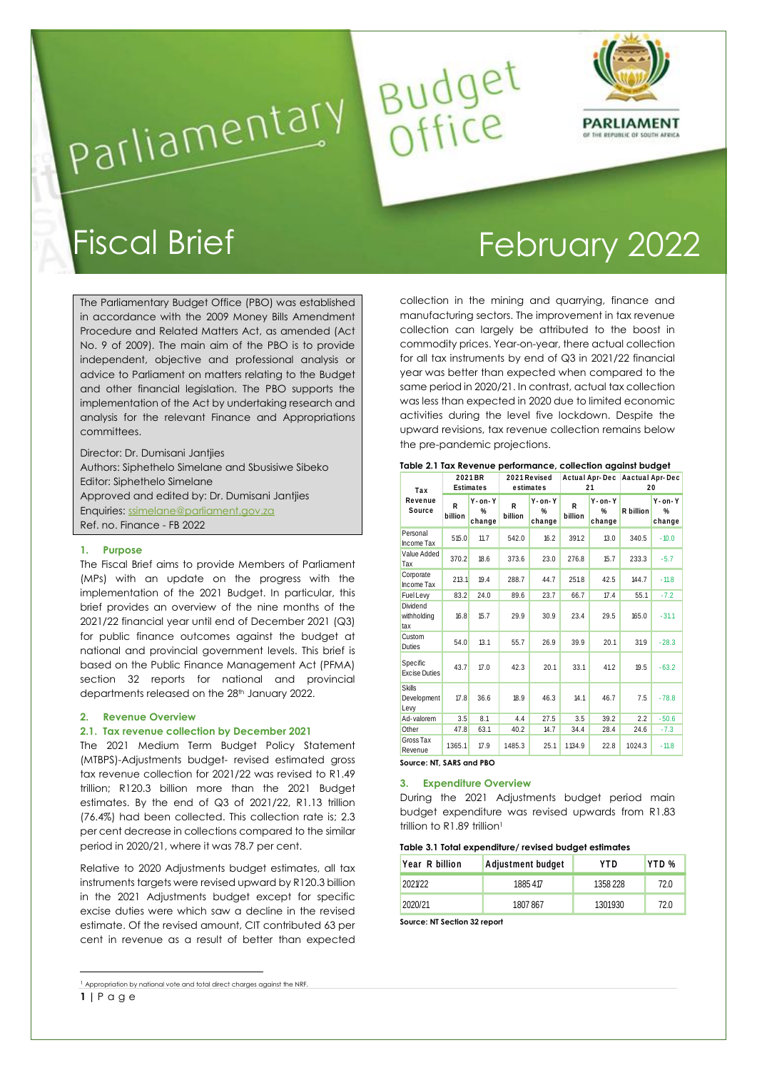

# Budget<br>Office Parliamentary

The Parliamentary Budget Office (PBO) was established in accordance with the 2009 Money Bills Amendment Procedure and Related Matters Act, as amended (Act No. 9 of 2009). The main aim of the PBO is to provide independent, objective and professional analysis or advice to Parliament on matters relating to the Budget and other financial legislation. The PBO supports the implementation of the Act by undertaking research and analysis for the relevant Finance and Appropriations committees.

Director: Dr. Dumisani Jantjies Authors: Siphethelo Simelane and Sbusisiwe Sibeko Editor: Siphethelo Simelane Approved and edited by: Dr. Dumisani Jantjies Enquiries: [ssimelane@parliament.gov.za](mailto:ssimelane@parliament.gov.za)  Ref. no. Finance - FB 2022

## **1. Purpose**

The Fiscal Brief aims to provide Members of Parliament (MPs) with an update on the progress with the implementation of the 2021 Budget. In particular, this brief provides an overview of the nine months of the 2021/22 financial year until end of December 2021 (Q3) for public finance outcomes against the budget at national and provincial government levels. This brief is based on the Public Finance Management Act (PFMA) section 32 reports for national and provincial departments released on the 28th January 2022.

#### **2. Revenue Overview**

1

#### **2.1. Tax revenue collection by December 2021**

The 2021 Medium Term Budget Policy Statement (MTBPS)-Adjustments budget- revised estimated gross tax revenue collection for 2021/22 was revised to R1.49 trillion; R120.3 billion more than the 2021 Budget estimates. By the end of Q3 of 2021/22, R1.13 trillion (76.4%) had been collected. This collection rate is; 2.3 per cent decrease in collections compared to the similar period in 2020/21, where it was 78.7 per cent.

Relative to 2020 Adjustments budget estimates, all tax instruments targets were revised upward by R120.3 billion in the 2021 Adjustments budget except for specific excise duties were which saw a decline in the revised estimate. Of the revised amount, CIT contributed 63 per cent in revenue as a result of better than expected

**1 |** P a g e <sup>1</sup> Appropriation by national vote and total direct charges against the NRF.

# Fiscal Brief February 2022

collection in the mining and quarrying, finance and manufacturing sectors. The improvement in tax revenue collection can largely be attributed to the boost in commodity prices. Year-on-year, there actual collection for all tax instruments by end of Q3 in 2021/22 financial year was better than expected when compared to the same period in 2020/21. In contrast, actual tax collection was less than expected in 2020 due to limited economic activities during the level five lockdown. Despite the upward revisions, tax revenue collection remains below the pre-pandemic projections.

| Tax<br>Revenue<br>Source             | 2021BR<br><b>Estimates</b> |                              |              | 2021 Revised<br>estimates    |              | <b>Actual Apr-Dec</b><br>21  |           | <b>Aactual Apr-Dec</b><br>20            |  |
|--------------------------------------|----------------------------|------------------------------|--------------|------------------------------|--------------|------------------------------|-----------|-----------------------------------------|--|
|                                      | R<br>billion               | $Y$ - on- $Y$<br>%<br>change | R<br>billion | $Y$ - on- $Y$<br>%<br>change | R<br>billion | $Y$ - on- $Y$<br>%<br>change | R billion | $Y - 0n - Y$<br>$\frac{9}{6}$<br>change |  |
| Personal<br>Income Tax               | 515.0                      | 11.7                         | 542.0        | 16.2                         | 391.2        | 13.0                         | 340.5     | $-10.0$                                 |  |
| Value Added<br>Tax                   | 370.2                      | 18.6                         | 373.6        | 23.0                         | 276.8        | 15.7                         | 233.3     | $-5.7$                                  |  |
| Corporate<br>Income Tax              | 213.1                      | 19.4                         | 288.7        | 44.7                         | 251.8        | 42.5                         | 144.7     | $-11.8$                                 |  |
| <b>Fuel Levy</b>                     | 83.2                       | 24.0                         | 89.6         | 23.7                         | 66.7         | 17.4                         | 55.1      | $-7.2$                                  |  |
| Dividend<br>withholding<br>tax       | 16.8                       | 15.7                         | 29.9         | 30.9                         | 23.4         | 29.5                         | 165.0     | $-31.1$                                 |  |
| Custom<br><b>Duties</b>              | 54.0                       | 13.1                         | 55.7         | 26.9                         | 39.9         | 20.1                         | 31.9      | $-28.3$                                 |  |
| Specific<br><b>Excise Duties</b>     | 43.7                       | 17.0                         | 42.3         | 20.1                         | 33.1         | 41.2                         | 19.5      | $-63.2$                                 |  |
| <b>Skills</b><br>Development<br>Levy | 17.8                       | 36.6                         | 18.9         | 46.3                         | 14.1         | 46.7                         | 7.5       | $-78.8$                                 |  |
| Ad-valorem                           | 3.5                        | 8.1                          | 4.4          | 27.5                         | 3.5          | 39.2                         | 2.2       | $-50.6$                                 |  |
| Other                                | 47.8                       | 63.1                         | 40.2         | 14.7                         | 34.4         | 28.4                         | 24.6      | $-7.3$                                  |  |
| Gross Tax<br>Revenue                 | 1365.1                     | 17.9                         | 1485.3       | 25.1                         | 1134.9       | 22.8                         | 1024.3    | $-11.8$                                 |  |

# **3. Expenditure Overview**

During the 2021 Adjustments budget period main budget expenditure was revised upwards from R1.83 trillion to R1.89 trillion<sup>1</sup>

#### **Table 3.1 Total expenditure/ revised budget estimates**

| Year R billion | Adjustment budget | YTD      | YTD <sub>%</sub> |
|----------------|-------------------|----------|------------------|
| 2021/22        | 1885417           | 1358 228 | 72.0             |
| 2020/21        | 1807867           | 1301930  | 72.0             |

**Source: NT Section 32 report**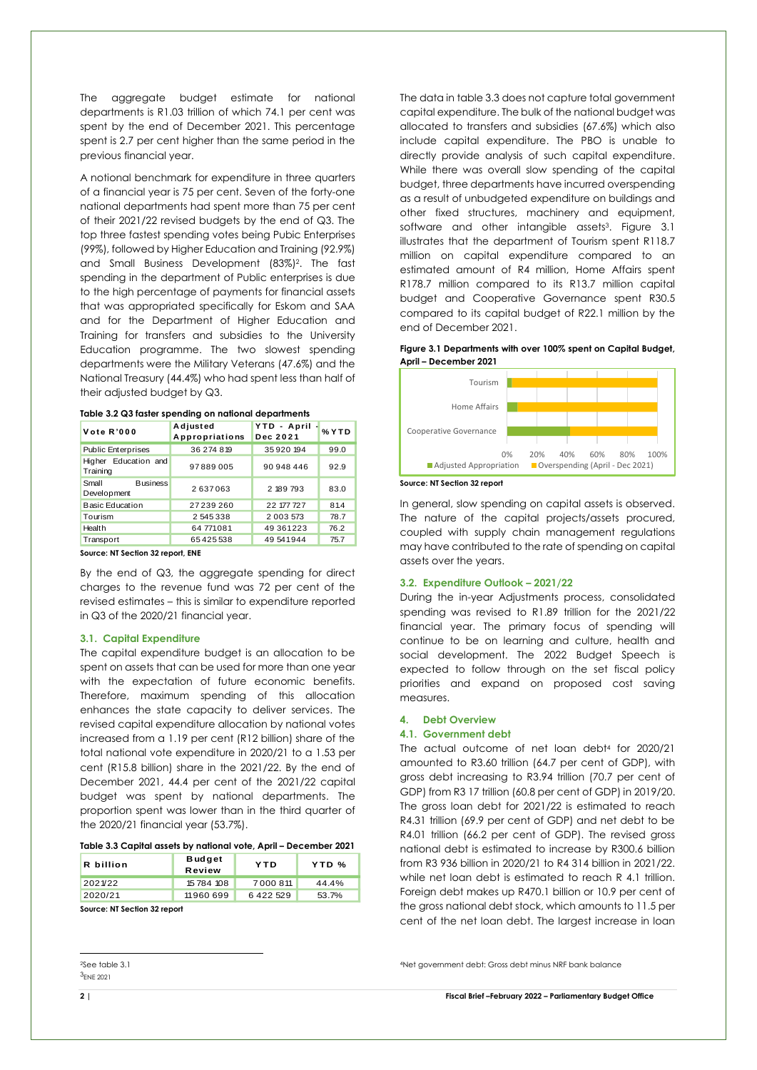The aggregate budget estimate for national departments is R1.03 trillion of which 74.1 per cent was spent by the end of December 2021. This percentage spent is 2.7 per cent higher than the same period in the previous financial year.

A notional benchmark for expenditure in three quarters of a financial year is 75 per cent. Seven of the forty-one national departments had spent more than 75 per cent of their 2021/22 revised budgets by the end of Q3. The top three fastest spending votes being Pubic Enterprises (99%), followed by Higher Education and Training (92.9%) and Small Business Development (83%)2. The fast spending in the department of Public enterprises is due to the high percentage of payments for financial assets that was appropriated specifically for Eskom and SAA and for the Department of Higher Education and Training for transfers and subsidies to the University Education programme. The two slowest spending departments were the Military Veterans (47.6%) and the National Treasury (44.4%) who had spent less than half of their adjusted budget by Q3.

| Vote R'000                              | Adjusted<br>Appropriations | YTD - April<br>Dec 2021 | % Y T D |
|-----------------------------------------|----------------------------|-------------------------|---------|
| <b>Public Enterprises</b>               | 36 274 819                 | 35920194                | 99.0    |
| Education and<br>Higher<br>Training     | 97889005                   | 90 948 446              | 92.9    |
| Small<br><b>Business</b><br>Development | 2637063                    | 2 189 793               | 83.0    |
| <b>Basic Education</b>                  | 27239260                   | 22 177 727              | 81.4    |
| Tourism                                 | 2545338                    | 2 003 573               | 78.7    |
| Health                                  | 64 771081                  | 49 361223               | 76.2    |
| Transport                               | 65425538                   | 49541944                | 75.7    |

**Table 3.2 Q3 faster spending on national departments**

**Source: NT Section 32 report, ENE** 

By the end of Q3, the aggregate spending for direct charges to the revenue fund was 72 per cent of the revised estimates – this is similar to expenditure reported in Q3 of the 2020/21 financial year.

#### **3.1. Capital Expenditure**

The capital expenditure budget is an allocation to be spent on assets that can be used for more than one year with the expectation of future economic benefits. Therefore, maximum spending of this allocation enhances the state capacity to deliver services. The revised capital expenditure allocation by national votes increased from a 1.19 per cent (R12 billion) share of the total national vote expenditure in 2020/21 to a 1.53 per cent (R15.8 billion) share in the 2021/22. By the end of December 2021, 44.4 per cent of the 2021/22 capital budget was spent by national departments. The proportion spent was lower than in the third quarter of the 2020/21 financial year (53.7%).

#### **Table 3.3 Capital assets by national vote, April – December 2021**

| R billion | <b>Budget</b><br><b>Review</b> | YTD          | YTD % |
|-----------|--------------------------------|--------------|-------|
| 2021/22   | 15784 108                      | 7 0 0 0 8 11 | 44.4% |
| 2020/21   | 11960699                       | 6422529      | 53.7% |
| $-1$      |                                |              |       |

**Source: NT Section 32 report**

The data in table 3.3 does not capture total government capital expenditure. The bulk of the national budget was allocated to transfers and subsidies (67.6%) which also include capital expenditure. The PBO is unable to directly provide analysis of such capital expenditure. While there was overall slow spending of the capital budget, three departments have incurred overspending as a result of unbudgeted expenditure on buildings and other fixed structures, machinery and equipment, software and other intangible assets<sup>3</sup>. Figure 3.1 illustrates that the department of Tourism spent R118.7 million on capital expenditure compared to an estimated amount of R4 million, Home Affairs spent R178.7 million compared to its R13.7 million capital budget and Cooperative Governance spent R30.5 compared to its capital budget of R22.1 million by the end of December 2021.

#### **Figure 3.1 Departments with over 100% spent on Capital Budget, April – December 2021**



**Source: NT Section 32 report** 

In general, slow spending on capital assets is observed. The nature of the capital projects/assets procured, coupled with supply chain management regulations may have contributed to the rate of spending on capital assets over the years.

#### **3.2. Expenditure Outlook – 2021/22**

During the in-year Adjustments process, consolidated spending was revised to R1.89 trillion for the 2021/22 financial year. The primary focus of spending will continue to be on learning and culture, health and social development. The 2022 Budget Speech is expected to follow through on the set fiscal policy priorities and expand on proposed cost saving measures.

#### **4. Debt Overview**

#### **4.1. Government debt**

The actual outcome of net loan debt<sup>4</sup> for 2020/21 amounted to R3.60 trillion (64.7 per cent of GDP), with gross debt increasing to R3.94 trillion (70.7 per cent of GDP) from R3 17 trillion (60.8 per cent of GDP) in 2019/20. The gross loan debt for 2021/22 is estimated to reach R4.31 trillion (69.9 per cent of GDP) and net debt to be R4.01 trillion (66.2 per cent of GDP). The revised gross national debt is estimated to increase by R300.6 billion from R3 936 billion in 2020/21 to R4 314 billion in 2021/22. while net loan debt is estimated to reach R 4.1 trillion. Foreign debt makes up R470.1 billion or 10.9 per cent of the gross national debt stock, which amounts to 11.5 per cent of the net loan debt. The largest increase in loan

<sup>4</sup>Net government debt: Gross debt minus NRF bank balance

-

<sup>2</sup>See table 3.1 3ENE 2021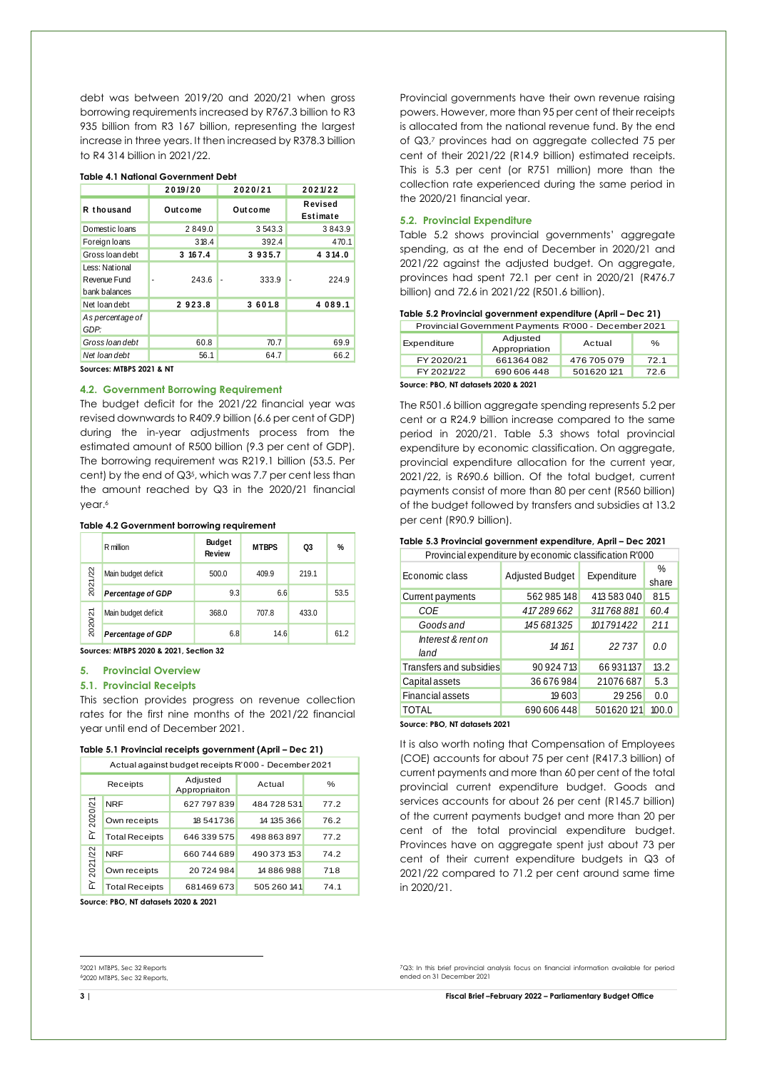debt was between 2019/20 and 2020/21 when gross borrowing requirements increased by R767.3 billion to R3 935 billion from R3 167 billion, representing the largest increase in three years. It then increased by R378.3 billion to R4 314 billion in 2021/22.

|                                                 | 2019/20 | 2020/21     | 2021/22             |
|-------------------------------------------------|---------|-------------|---------------------|
| R thousand                                      | Outcome | Outcome     | Revised<br>Estimate |
| Domestic Ioans                                  | 2849.0  | 3 543.3     | 3843.9              |
| Foreign loans                                   | 318.4   | 392.4       | 470.1               |
| Gross loan debt                                 | 3 167.4 | 3935.7      | 4 3 14 .0           |
| Less: National<br>Revenue Fund<br>bank balances | 243.6   | 333.9<br>ä, | 224.9<br>ä,         |
| Net loan debt                                   | 2923.8  | 3601.8      | 4 089.1             |
| As percentage of<br>GDP:                        |         |             |                     |
| Gross loan debt                                 | 60.8    | 70.7        | 69.9                |
| Net loan debt                                   | 56.1    | 64.7        | 66.2                |

#### **Table 4.1 National Government Debt**

**Sources: MTBPS 2021 & NT**

#### **4.2. Government Borrowing Requirement**

The budget deficit for the 2021/22 financial year was revised downwards to R409.9 billion (6.6 per cent of GDP) during the in-year adjustments process from the estimated amount of R500 billion (9.3 per cent of GDP). The borrowing requirement was R219.1 billion (53.5. Per cent) by the end of Q35, which was 7.7 per cent less than the amount reached by Q3 in the 2020/21 financial year. 6

#### **Table 4.2 Government borrowing requirement**

|         | R million                | <b>Budget</b><br><b>Review</b> | <b>MTBPS</b> | Q3    | $\%$ |
|---------|--------------------------|--------------------------------|--------------|-------|------|
| 2021/22 | Main budget deficit      | 500.0                          | 409.9        | 219.1 |      |
|         | <b>Percentage of GDP</b> | 9.3                            | 6.6          |       | 53.5 |
|         | Main budget deficit      | 368.0                          | 707.8        | 433.0 |      |
| 2020/21 | <b>Percentage of GDP</b> | 6.8                            | 14.6         |       | 61.2 |

**Sources: MTBPS 2020 & 2021, Section 32** 

#### **5. Provincial Overview**

#### **5.1. Provincial Receipts**

This section provides progress on revenue collection rates for the first nine months of the 2021/22 financial year until end of December 2021.

#### **Table 5.1 Provincial receipts government (April – Dec 21)**

| Actual against budget receipts R'000 - December 2021 |                                                         |             |             |      |  |
|------------------------------------------------------|---------------------------------------------------------|-------------|-------------|------|--|
|                                                      | Adjusted<br>Actual<br>$\%$<br>Receipts<br>Appropriaiton |             |             |      |  |
|                                                      | <b>NRF</b>                                              | 627 797 839 | 484728531   | 77.2 |  |
| 2020/21                                              | Own receipts                                            | 18541736    | 14 135 366  | 76.2 |  |
| 노                                                    | <b>Total Receipts</b>                                   | 646 339 575 | 498 863 897 | 77.2 |  |
| 2021/22                                              | <b>NRF</b>                                              | 660 744 689 | 490 373 153 | 74.2 |  |
|                                                      | Own receipts                                            | 20724984    | 14886988    | 71.8 |  |
| ≿                                                    | <b>Total Receipts</b>                                   | 681469673   | 505 260 141 | 74.1 |  |

**Source: PBO, NT datasets 2020 & 2021**

Provincial governments have their own revenue raising powers. However, more than 95 per cent of their receipts is allocated from the national revenue fund. By the end of Q3,<sup>7</sup> provinces had on aggregate collected 75 per cent of their 2021/22 (R14.9 billion) estimated receipts. This is 5.3 per cent (or R751 million) more than the collection rate experienced during the same period in the 2020/21 financial year.

#### **5.2. Provincial Expenditure**

Table 5.2 shows provincial governments' aggregate spending, as at the end of December in 2020/21 and 2021/22 against the adjusted budget. On aggregate, provinces had spent 72.1 per cent in 2020/21 (R476.7 billion) and 72.6 in 2021/22 (R501.6 billion).

| Table 5.2 Provincial government expenditure (April – Dec 21) |  |  |
|--------------------------------------------------------------|--|--|
|--------------------------------------------------------------|--|--|

| Table 5.2 Provincial government expenditure (April – Dec 21) |                                                      |             |      |  |  |
|--------------------------------------------------------------|------------------------------------------------------|-------------|------|--|--|
|                                                              | Provincial Government Payments R'000 - December 2021 |             |      |  |  |
| Expenditure                                                  | Adjusted<br>Appropriation                            | Actual      | $\%$ |  |  |
| FY 2020/21                                                   | 661364082                                            | 476 705 079 | 721  |  |  |
| FY 2021/22                                                   | 690 606 448                                          | 501620 121  | 72.6 |  |  |
|                                                              |                                                      |             |      |  |  |

**Source: PBO, NT datasets 2020 & 2021**

The R501.6 billion aggregate spending represents 5.2 per cent or a R24.9 billion increase compared to the same period in 2020/21. Table 5.3 shows total provincial expenditure by economic classification. On aggregate, provincial expenditure allocation for the current year, 2021/22, is R690.6 billion. Of the total budget, current payments consist of more than 80 per cent (R560 billion) of the budget followed by transfers and subsidies at 13.2 per cent (R90.9 billion).

#### **Table 5.3 Provincial government expenditure, April – Dec 2021**

| Provincial expenditure by economic classification R'000 |                        |             |               |  |  |  |
|---------------------------------------------------------|------------------------|-------------|---------------|--|--|--|
| Economic class                                          | <b>Adjusted Budget</b> | Expenditure | $\%$<br>share |  |  |  |
| Current payments                                        | 562 985 148            | 413 583 040 | 81.5          |  |  |  |
| COE                                                     | 417289662              | 311768881   | 60.4          |  |  |  |
| Goods and                                               | 145 681325             | 101791422   | 21.1          |  |  |  |
| Interest & rent on<br>land                              | 14 16 1                | 22737       | 0.0           |  |  |  |
| Transfers and subsidies                                 | 90 924 713             | 66 931 137  | 13.2          |  |  |  |
| Capital assets                                          | 36 676 984             | 21076687    | 5.3           |  |  |  |
| <b>Financial assets</b>                                 | 19603                  | 29 25 6     | 0.0           |  |  |  |
| TOTAL                                                   | 690 606 448            | 501620121   | 100.0         |  |  |  |

**Source: PBO, NT datasets 2021**

It is also worth noting that Compensation of Employees (COE) accounts for about 75 per cent (R417.3 billion) of current payments and more than 60 per cent of the total provincial current expenditure budget. Goods and services accounts for about 26 per cent (R145.7 billion) of the current payments budget and more than 20 per cent of the total provincial expenditure budget. Provinces have on aggregate spent just about 73 per cent of their current expenditure budgets in Q3 of 2021/22 compared to 71.2 per cent around same time in 2020/21.

<sup>7</sup>Q3: In this brief provincial analysis focus on financial information available for period ended on 31 December 2021

1